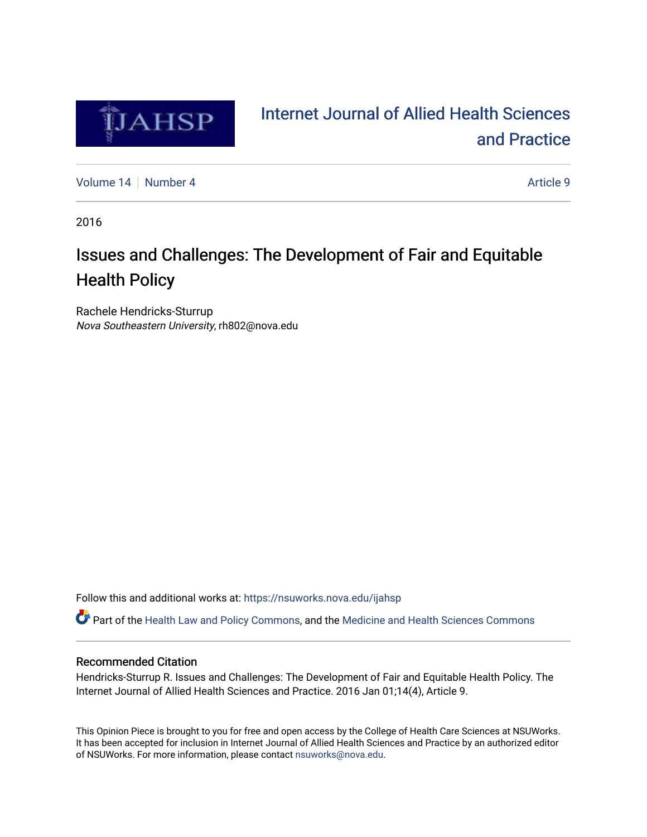

# [Internet Journal of Allied Health Sciences](https://nsuworks.nova.edu/ijahsp)  [and Practice](https://nsuworks.nova.edu/ijahsp)

[Volume 14](https://nsuworks.nova.edu/ijahsp/vol14) [Number 4](https://nsuworks.nova.edu/ijahsp/vol14/iss4) Article 9

2016

# Issues and Challenges: The Development of Fair and Equitable Health Policy

Rachele Hendricks-Sturrup Nova Southeastern University, rh802@nova.edu

Follow this and additional works at: [https://nsuworks.nova.edu/ijahsp](https://nsuworks.nova.edu/ijahsp?utm_source=nsuworks.nova.edu%2Fijahsp%2Fvol14%2Fiss4%2F9&utm_medium=PDF&utm_campaign=PDFCoverPages) 

Part of the [Health Law and Policy Commons](http://network.bepress.com/hgg/discipline/901?utm_source=nsuworks.nova.edu%2Fijahsp%2Fvol14%2Fiss4%2F9&utm_medium=PDF&utm_campaign=PDFCoverPages), and the [Medicine and Health Sciences Commons](http://network.bepress.com/hgg/discipline/648?utm_source=nsuworks.nova.edu%2Fijahsp%2Fvol14%2Fiss4%2F9&utm_medium=PDF&utm_campaign=PDFCoverPages)

### Recommended Citation

Hendricks-Sturrup R. Issues and Challenges: The Development of Fair and Equitable Health Policy. The Internet Journal of Allied Health Sciences and Practice. 2016 Jan 01;14(4), Article 9.

This Opinion Piece is brought to you for free and open access by the College of Health Care Sciences at NSUWorks. It has been accepted for inclusion in Internet Journal of Allied Health Sciences and Practice by an authorized editor of NSUWorks. For more information, please contact [nsuworks@nova.edu.](mailto:nsuworks@nova.edu)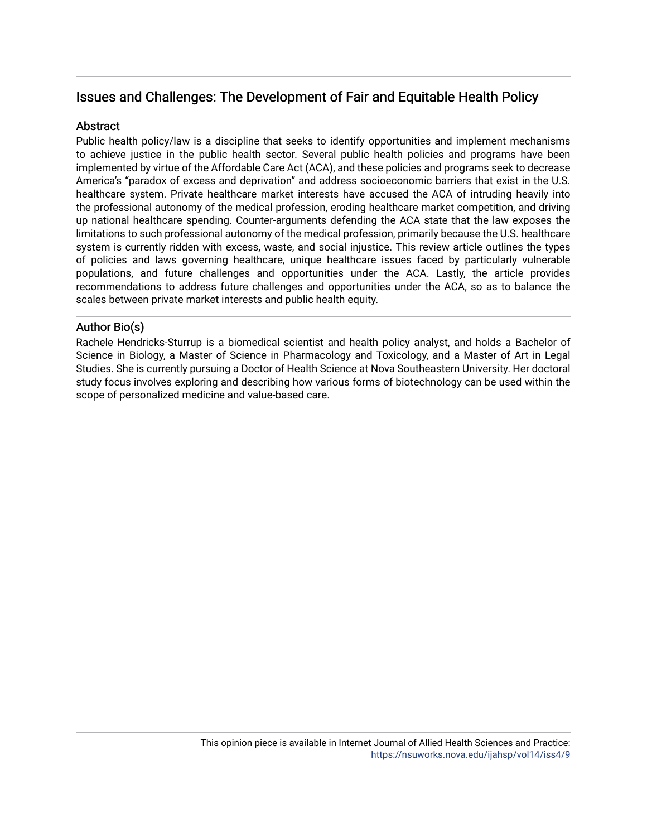## Issues and Challenges: The Development of Fair and Equitable Health Policy

## **Abstract**

Public health policy/law is a discipline that seeks to identify opportunities and implement mechanisms to achieve justice in the public health sector. Several public health policies and programs have been implemented by virtue of the Affordable Care Act (ACA), and these policies and programs seek to decrease America's "paradox of excess and deprivation" and address socioeconomic barriers that exist in the U.S. healthcare system. Private healthcare market interests have accused the ACA of intruding heavily into the professional autonomy of the medical profession, eroding healthcare market competition, and driving up national healthcare spending. Counter-arguments defending the ACA state that the law exposes the limitations to such professional autonomy of the medical profession, primarily because the U.S. healthcare system is currently ridden with excess, waste, and social injustice. This review article outlines the types of policies and laws governing healthcare, unique healthcare issues faced by particularly vulnerable populations, and future challenges and opportunities under the ACA. Lastly, the article provides recommendations to address future challenges and opportunities under the ACA, so as to balance the scales between private market interests and public health equity.

## Author Bio(s)

Rachele Hendricks-Sturrup is a biomedical scientist and health policy analyst, and holds a Bachelor of Science in Biology, a Master of Science in Pharmacology and Toxicology, and a Master of Art in Legal Studies. She is currently pursuing a Doctor of Health Science at Nova Southeastern University. Her doctoral study focus involves exploring and describing how various forms of biotechnology can be used within the scope of personalized medicine and value-based care.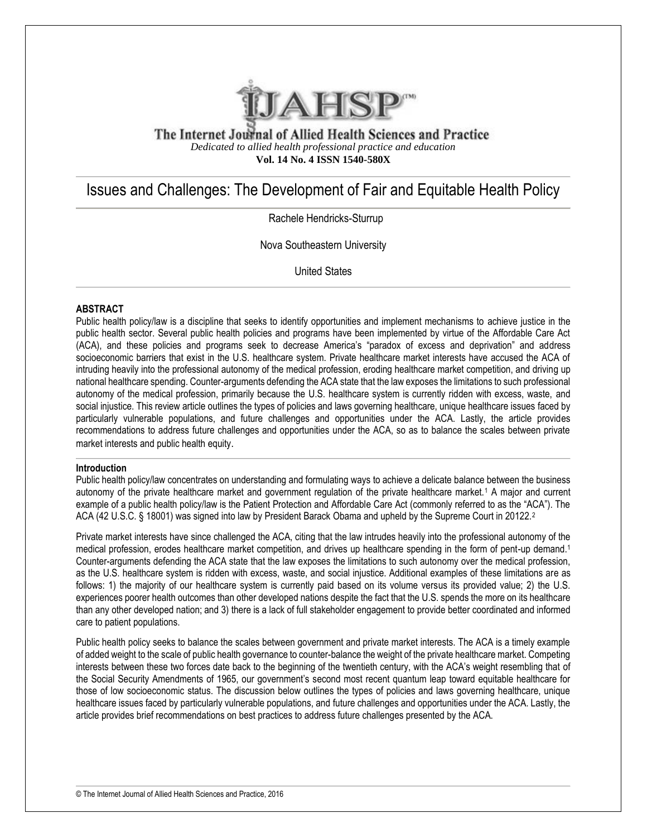

The Internet Journal of Allied Health Sciences and Practice *Dedicated to allied health professional practice and education* **Vol. 14 No. 4 ISSN 1540-580X**

# Issues and Challenges: The Development of Fair and Equitable Health Policy

Rachele Hendricks-Sturrup

Nova Southeastern University

United States

#### **ABSTRACT**

Public health policy/law is a discipline that seeks to identify opportunities and implement mechanisms to achieve justice in the public health sector. Several public health policies and programs have been implemented by virtue of the Affordable Care Act (ACA), and these policies and programs seek to decrease America's "paradox of excess and deprivation" and address socioeconomic barriers that exist in the U.S. healthcare system. Private healthcare market interests have accused the ACA of intruding heavily into the professional autonomy of the medical profession, eroding healthcare market competition, and driving up national healthcare spending. Counter-arguments defending the ACA state that the law exposes the limitations to such professional autonomy of the medical profession, primarily because the U.S. healthcare system is currently ridden with excess, waste, and social injustice. This review article outlines the types of policies and laws governing healthcare, unique healthcare issues faced by particularly vulnerable populations, and future challenges and opportunities under the ACA. Lastly, the article provides recommendations to address future challenges and opportunities under the ACA, so as to balance the scales between private market interests and public health equity.

#### **Introduction**

Public health policy/law concentrates on understanding and formulating ways to achieve a delicate balance between the business autonomy of the private healthcare market and government regulation of the private healthcare market.<sup>1</sup> A major and current example of a public health policy/law is the Patient Protection and Affordable Care Act (commonly referred to as the "ACA"). The ACA (42 U.S.C. § 18001) was signed into law by President Barack Obama and upheld by the Supreme Court in 20122.<sup>2</sup>

Private market interests have since challenged the ACA, citing that the law intrudes heavily into the professional autonomy of the medical profession, erodes healthcare market competition, and drives up healthcare spending in the form of pent-up demand.<sup>1</sup> Counter-arguments defending the ACA state that the law exposes the limitations to such autonomy over the medical profession, as the U.S. healthcare system is ridden with excess, waste, and social injustice. Additional examples of these limitations are as follows: 1) the majority of our healthcare system is currently paid based on its volume versus its provided value; 2) the U.S. experiences poorer health outcomes than other developed nations despite the fact that the U.S. spends the more on its healthcare than any other developed nation; and 3) there is a lack of full stakeholder engagement to provide better coordinated and informed care to patient populations.

Public health policy seeks to balance the scales between government and private market interests. The ACA is a timely example of added weight to the scale of public health governance to counter-balance the weight of the private healthcare market. Competing interests between these two forces date back to the beginning of the twentieth century, with the ACA's weight resembling that of the Social Security Amendments of 1965, our government's second most recent quantum leap toward equitable healthcare for those of low socioeconomic status. The discussion below outlines the types of policies and laws governing healthcare, unique healthcare issues faced by particularly vulnerable populations, and future challenges and opportunities under the ACA. Lastly, the article provides brief recommendations on best practices to address future challenges presented by the ACA.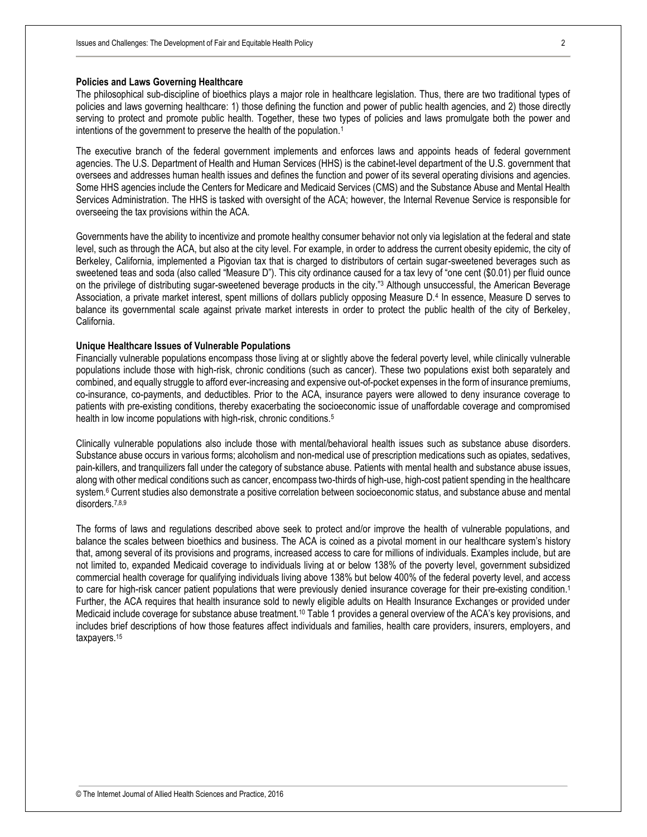#### **Policies and Laws Governing Healthcare**

The philosophical sub-discipline of bioethics plays a major role in healthcare legislation. Thus, there are two traditional types of policies and laws governing healthcare: 1) those defining the function and power of public health agencies, and 2) those directly serving to protect and promote public health. Together, these two types of policies and laws promulgate both the power and intentions of the government to preserve the health of the population.<sup>1</sup>

The executive branch of the federal government implements and enforces laws and appoints heads of federal government agencies. The U.S. Department of Health and Human Services (HHS) is the cabinet-level department of the U.S. government that oversees and addresses human health issues and defines the function and power of its several operating divisions and agencies. Some HHS agencies include the Centers for Medicare and Medicaid Services (CMS) and the Substance Abuse and Mental Health Services Administration. The HHS is tasked with oversight of the ACA; however, the Internal Revenue Service is responsible for overseeing the tax provisions within the ACA.

Governments have the ability to incentivize and promote healthy consumer behavior not only via legislation at the federal and state level, such as through the ACA, but also at the city level. For example, in order to address the current obesity epidemic, the city of Berkeley, California, implemented a Pigovian tax that is charged to distributors of certain sugar-sweetened beverages such as sweetened teas and soda (also called "Measure D"). This city ordinance caused for a tax levy of "one cent (\$0.01) per fluid ounce on the privilege of distributing sugar-sweetened beverage products in the city."<sup>3</sup> Although unsuccessful, the American Beverage Association, a private market interest, spent millions of dollars publicly opposing Measure D.<sup>4</sup> In essence, Measure D serves to balance its governmental scale against private market interests in order to protect the public health of the city of Berkeley, California.

#### **Unique Healthcare Issues of Vulnerable Populations**

Financially vulnerable populations encompass those living at or slightly above the federal poverty level, while clinically vulnerable populations include those with high-risk, chronic conditions (such as cancer). These two populations exist both separately and combined, and equally struggle to afford ever-increasing and expensive out-of-pocket expenses in the form of insurance premiums, co-insurance, co-payments, and deductibles. Prior to the ACA, insurance payers were allowed to deny insurance coverage to patients with pre-existing conditions, thereby exacerbating the socioeconomic issue of unaffordable coverage and compromised health in low income populations with high-risk, chronic conditions.<sup>5</sup>

Clinically vulnerable populations also include those with mental/behavioral health issues such as substance abuse disorders. Substance abuse occurs in various forms; alcoholism and non-medical use of prescription medications such as opiates, sedatives, pain-killers, and tranquilizers fall under the category of substance abuse. Patients with mental health and substance abuse issues, along with other medical conditions such as cancer, encompass two-thirds of high-use, high-cost patient spending in the healthcare system.<sup>6</sup> Current studies also demonstrate a positive correlation between socioeconomic status, and substance abuse and mental disorders.7,8,9

The forms of laws and regulations described above seek to protect and/or improve the health of vulnerable populations, and balance the scales between bioethics and business. The ACA is coined as a pivotal moment in our healthcare system's history that, among several of its provisions and programs, increased access to care for millions of individuals. Examples include, but are not limited to, expanded Medicaid coverage to individuals living at or below 138% of the poverty level, government subsidized commercial health coverage for qualifying individuals living above 138% but below 400% of the federal poverty level, and access to care for high-risk cancer patient populations that were previously denied insurance coverage for their pre-existing condition.<sup>1</sup> Further, the ACA requires that health insurance sold to newly eligible adults on Health Insurance Exchanges or provided under Medicaid include coverage for substance abuse treatment.<sup>10</sup> Table 1 provides a general overview of the ACA's key provisions, and includes brief descriptions of how those features affect individuals and families, health care providers, insurers, employers, and taxpayers.15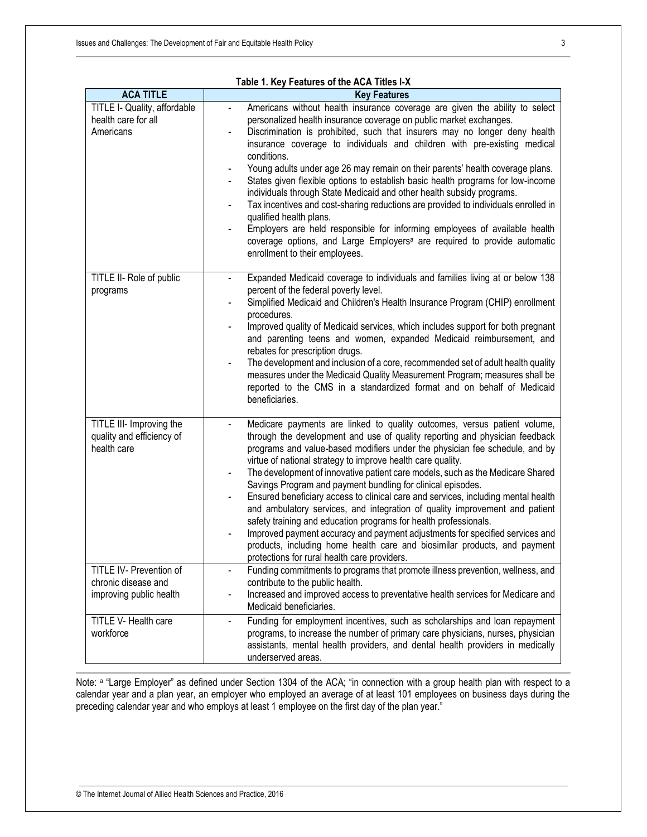| Table 1. Key Features of the ACA Titles I-X                               |                                                                                                                                                                                                                                                                                                                                                                                                                                                                                                                                                                                                                                                                                                                                                                                                                                                                                                                                                                                           |
|---------------------------------------------------------------------------|-------------------------------------------------------------------------------------------------------------------------------------------------------------------------------------------------------------------------------------------------------------------------------------------------------------------------------------------------------------------------------------------------------------------------------------------------------------------------------------------------------------------------------------------------------------------------------------------------------------------------------------------------------------------------------------------------------------------------------------------------------------------------------------------------------------------------------------------------------------------------------------------------------------------------------------------------------------------------------------------|
| <b>ACA TITLE</b>                                                          | <b>Key Features</b>                                                                                                                                                                                                                                                                                                                                                                                                                                                                                                                                                                                                                                                                                                                                                                                                                                                                                                                                                                       |
| TITLE I- Quality, affordable<br>health care for all<br>Americans          | Americans without health insurance coverage are given the ability to select<br>$\blacksquare$<br>personalized health insurance coverage on public market exchanges.<br>Discrimination is prohibited, such that insurers may no longer deny health<br>insurance coverage to individuals and children with pre-existing medical<br>conditions.<br>Young adults under age 26 may remain on their parents' health coverage plans.<br>States given flexible options to establish basic health programs for low-income<br>individuals through State Medicaid and other health subsidy programs.<br>Tax incentives and cost-sharing reductions are provided to individuals enrolled in<br>qualified health plans.<br>Employers are held responsible for informing employees of available health<br>coverage options, and Large Employers <sup>a</sup> are required to provide automatic<br>enrollment to their employees.                                                                        |
| TITLE II- Role of public<br>programs                                      | Expanded Medicaid coverage to individuals and families living at or below 138<br>percent of the federal poverty level.<br>Simplified Medicaid and Children's Health Insurance Program (CHIP) enrollment<br>procedures.<br>Improved quality of Medicaid services, which includes support for both pregnant<br>and parenting teens and women, expanded Medicaid reimbursement, and<br>rebates for prescription drugs.<br>The development and inclusion of a core, recommended set of adult health quality<br>measures under the Medicaid Quality Measurement Program; measures shall be<br>reported to the CMS in a standardized format and on behalf of Medicaid<br>beneficiaries.                                                                                                                                                                                                                                                                                                         |
| TITLE III- Improving the<br>quality and efficiency of<br>health care      | Medicare payments are linked to quality outcomes, versus patient volume,<br>$\blacksquare$<br>through the development and use of quality reporting and physician feedback<br>programs and value-based modifiers under the physician fee schedule, and by<br>virtue of national strategy to improve health care quality.<br>The development of innovative patient care models, such as the Medicare Shared<br>$\qquad \qquad \blacksquare$<br>Savings Program and payment bundling for clinical episodes.<br>Ensured beneficiary access to clinical care and services, including mental health<br>$\overline{\phantom{a}}$<br>and ambulatory services, and integration of quality improvement and patient<br>safety training and education programs for health professionals.<br>Improved payment accuracy and payment adjustments for specified services and<br>products, including home health care and biosimilar products, and payment<br>protections for rural health care providers. |
| TITLE IV- Prevention of<br>chronic disease and<br>improving public health | Funding commitments to programs that promote illness prevention, wellness, and<br>contribute to the public health.<br>Increased and improved access to preventative health services for Medicare and<br>$\overline{\phantom{0}}$<br>Medicaid beneficiaries.                                                                                                                                                                                                                                                                                                                                                                                                                                                                                                                                                                                                                                                                                                                               |
| TITLE V- Health care<br>workforce                                         | Funding for employment incentives, such as scholarships and loan repayment<br>programs, to increase the number of primary care physicians, nurses, physician<br>assistants, mental health providers, and dental health providers in medically<br>underserved areas.                                                                                                                                                                                                                                                                                                                                                                                                                                                                                                                                                                                                                                                                                                                       |

Note: <sup>a</sup> "Large Employer" as defined under Section 1304 of the ACA; "in connection with a group health plan with respect to a calendar year and a plan year, an employer who employed an average of at least 101 employees on business days during the preceding calendar year and who employs at least 1 employee on the first day of the plan year."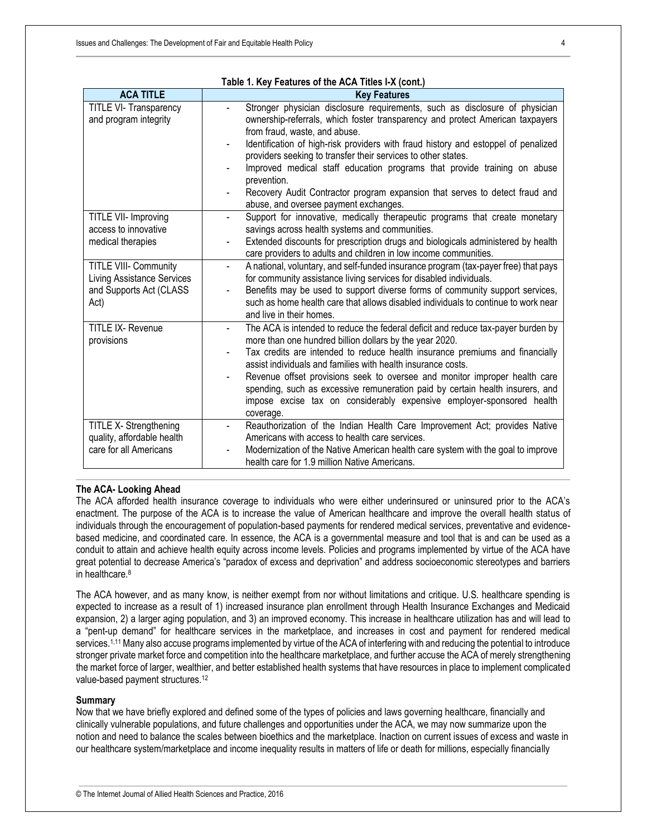| Table 1. Key Features of the ACA Titles I-X (cont.)                                        |                                                                                                                                                                                                                                                                                                                                                                                                                                                                                                                                                                         |  |
|--------------------------------------------------------------------------------------------|-------------------------------------------------------------------------------------------------------------------------------------------------------------------------------------------------------------------------------------------------------------------------------------------------------------------------------------------------------------------------------------------------------------------------------------------------------------------------------------------------------------------------------------------------------------------------|--|
| <b>ACA TITLE</b>                                                                           | <b>Key Features</b>                                                                                                                                                                                                                                                                                                                                                                                                                                                                                                                                                     |  |
| TITLE VI- Transparency<br>and program integrity                                            | Stronger physician disclosure requirements, such as disclosure of physician<br>ownership-referrals, which foster transparency and protect American taxpayers<br>from fraud, waste, and abuse.<br>Identification of high-risk providers with fraud history and estoppel of penalized<br>providers seeking to transfer their services to other states.<br>Improved medical staff education programs that provide training on abuse<br>prevention.<br>Recovery Audit Contractor program expansion that serves to detect fraud and<br>abuse, and oversee payment exchanges. |  |
| TITLE VII- Improving<br>access to innovative<br>medical therapies<br>TITLE VIII- Community | Support for innovative, medically therapeutic programs that create monetary<br>$\blacksquare$<br>savings across health systems and communities.<br>Extended discounts for prescription drugs and biologicals administered by health<br>care providers to adults and children in low income communities.<br>A national, voluntary, and self-funded insurance program (tax-payer free) that pays                                                                                                                                                                          |  |
| <b>Living Assistance Services</b><br>and Supports Act (CLASS<br>Act)                       | for community assistance living services for disabled individuals.<br>Benefits may be used to support diverse forms of community support services,<br>such as home health care that allows disabled individuals to continue to work near<br>and live in their homes.                                                                                                                                                                                                                                                                                                    |  |
| <b>TITLE IX- Revenue</b><br>provisions                                                     | The ACA is intended to reduce the federal deficit and reduce tax-payer burden by<br>$\blacksquare$<br>more than one hundred billion dollars by the year 2020.<br>Tax credits are intended to reduce health insurance premiums and financially<br>assist individuals and families with health insurance costs.<br>Revenue offset provisions seek to oversee and monitor improper health care<br>spending, such as excessive remuneration paid by certain health insurers, and<br>impose excise tax on considerably expensive employer-sponsored health<br>coverage.      |  |
| TITLE X- Strengthening<br>quality, affordable health<br>care for all Americans             | Reauthorization of the Indian Health Care Improvement Act; provides Native<br>Americans with access to health care services.<br>Modernization of the Native American health care system with the goal to improve<br>health care for 1.9 million Native Americans.                                                                                                                                                                                                                                                                                                       |  |

#### **The ACA- Looking Ahead**

The ACA afforded health insurance coverage to individuals who were either underinsured or uninsured prior to the ACA's enactment. The purpose of the ACA is to increase the value of American healthcare and improve the overall health status of individuals through the encouragement of population-based payments for rendered medical services, preventative and evidencebased medicine, and coordinated care. In essence, the ACA is a governmental measure and tool that is and can be used as a conduit to attain and achieve health equity across income levels. Policies and programs implemented by virtue of the ACA have great potential to decrease America's "paradox of excess and deprivation" and address socioeconomic stereotypes and barriers in healthcare.<sup>8</sup>

The ACA however, and as many know, is neither exempt from nor without limitations and critique. U.S. healthcare spending is expected to increase as a result of 1) increased insurance plan enrollment through Health Insurance Exchanges and Medicaid expansion, 2) a larger aging population, and 3) an improved economy. This increase in healthcare utilization has and will lead to a "pent-up demand" for healthcare services in the marketplace, and increases in cost and payment for rendered medical services.<sup>1,11</sup> Many also accuse programs implemented by virtue of the ACA of interfering with and reducing the potential to introduce stronger private market force and competition into the healthcare marketplace, and further accuse the ACA of merely strengthening the market force of larger, wealthier, and better established health systems that have resources in place to implement complicated value-based payment structures.<sup>12</sup>

#### **Summary**

Now that we have briefly explored and defined some of the types of policies and laws governing healthcare, financially and clinically vulnerable populations, and future challenges and opportunities under the ACA, we may now summarize upon the notion and need to balance the scales between bioethics and the marketplace. Inaction on current issues of excess and waste in our healthcare system/marketplace and income inequality results in matters of life or death for millions, especially financially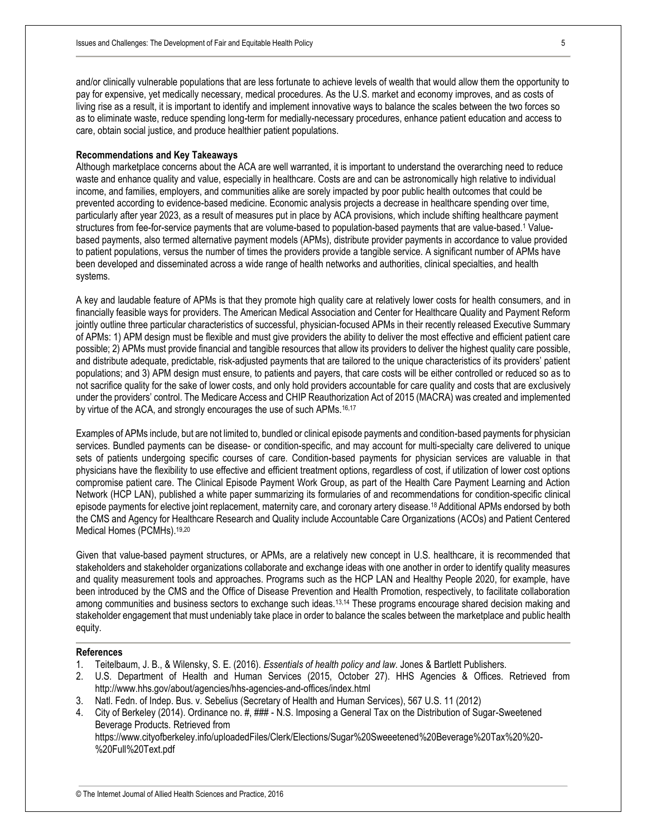and/or clinically vulnerable populations that are less fortunate to achieve levels of wealth that would allow them the opportunity to pay for expensive, yet medically necessary, medical procedures. As the U.S. market and economy improves, and as costs of living rise as a result, it is important to identify and implement innovative ways to balance the scales between the two forces so as to eliminate waste, reduce spending long-term for medially-necessary procedures, enhance patient education and access to care, obtain social justice, and produce healthier patient populations.

#### **Recommendations and Key Takeaways**

Although marketplace concerns about the ACA are well warranted, it is important to understand the overarching need to reduce waste and enhance quality and value, especially in healthcare. Costs are and can be astronomically high relative to individual income, and families, employers, and communities alike are sorely impacted by poor public health outcomes that could be prevented according to evidence-based medicine. Economic analysis projects a decrease in healthcare spending over time, particularly after year 2023, as a result of measures put in place by ACA provisions, which include shifting healthcare payment structures from fee-for-service payments that are volume-based to population-based payments that are value-based.<sup>1</sup> Valuebased payments, also termed alternative payment models (APMs), distribute provider payments in accordance to value provided to patient populations, versus the number of times the providers provide a tangible service. A significant number of APMs have been developed and disseminated across a wide range of health networks and authorities, clinical specialties, and health systems.

A key and laudable feature of APMs is that they promote high quality care at relatively lower costs for health consumers, and in financially feasible ways for providers. The American Medical Association and Center for Healthcare Quality and Payment Reform jointly outline three particular characteristics of successful, physician-focused APMs in their recently released Executive Summary of APMs: 1) APM design must be flexible and must give providers the ability to deliver the most effective and efficient patient care possible; 2) APMs must provide financial and tangible resources that allow its providers to deliver the highest quality care possible, and distribute adequate, predictable, risk-adjusted payments that are tailored to the unique characteristics of its providers' patient populations; and 3) APM design must ensure, to patients and payers, that care costs will be either controlled or reduced so as to not sacrifice quality for the sake of lower costs, and only hold providers accountable for care quality and costs that are exclusively under the providers' control. The Medicare Access and CHIP Reauthorization Act of 2015 (MACRA) was created and implemented by virtue of the ACA, and strongly encourages the use of such APMs.<sup>16,17</sup>

Examples of APMs include, but are not limited to, bundled or clinical episode payments and condition-based payments for physician services. Bundled payments can be disease- or condition-specific, and may account for multi-specialty care delivered to unique sets of patients undergoing specific courses of care. Condition-based payments for physician services are valuable in that physicians have the flexibility to use effective and efficient treatment options, regardless of cost, if utilization of lower cost options compromise patient care. The Clinical Episode Payment Work Group, as part of the Health Care Payment Learning and Action Network (HCP LAN), published a white paper summarizing its formularies of and recommendations for condition-specific clinical episode payments for elective joint replacement, maternity care, and coronary artery disease.18 Additional APMs endorsed by both the CMS and Agency for Healthcare Research and Quality include Accountable Care Organizations (ACOs) and Patient Centered Medical Homes (PCMHs).19,20

Given that value-based payment structures, or APMs, are a relatively new concept in U.S. healthcare, it is recommended that stakeholders and stakeholder organizations collaborate and exchange ideas with one another in order to identify quality measures and quality measurement tools and approaches. Programs such as the HCP LAN and Healthy People 2020, for example, have been introduced by the CMS and the Office of Disease Prevention and Health Promotion, respectively, to facilitate collaboration among communities and business sectors to exchange such ideas.13,14 These programs encourage shared decision making and stakeholder engagement that must undeniably take place in order to balance the scales between the marketplace and public health equity.

#### **References**

- 1. Teitelbaum, J. B., & Wilensky, S. E. (2016). *Essentials of health policy and law*. Jones & Bartlett Publishers.
- 2. U.S. Department of Health and Human Services (2015, October 27). HHS Agencies & Offices. Retrieved from http://www.hhs.gov/about/agencies/hhs-agencies-and-offices/index.html
- 3. Natl. Fedn. of Indep. Bus. v. Sebelius (Secretary of Health and Human Services), 567 U.S. 11 (2012)
- 4. City of Berkeley (2014). Ordinance no. #, ### N.S. Imposing a General Tax on the Distribution of Sugar-Sweetened Beverage Products. Retrieved from https://www.cityofberkeley.info/uploadedFiles/Clerk/Elections/Sugar%20Sweeetened%20Beverage%20Tax%20%20- %20Full%20Text.pdf